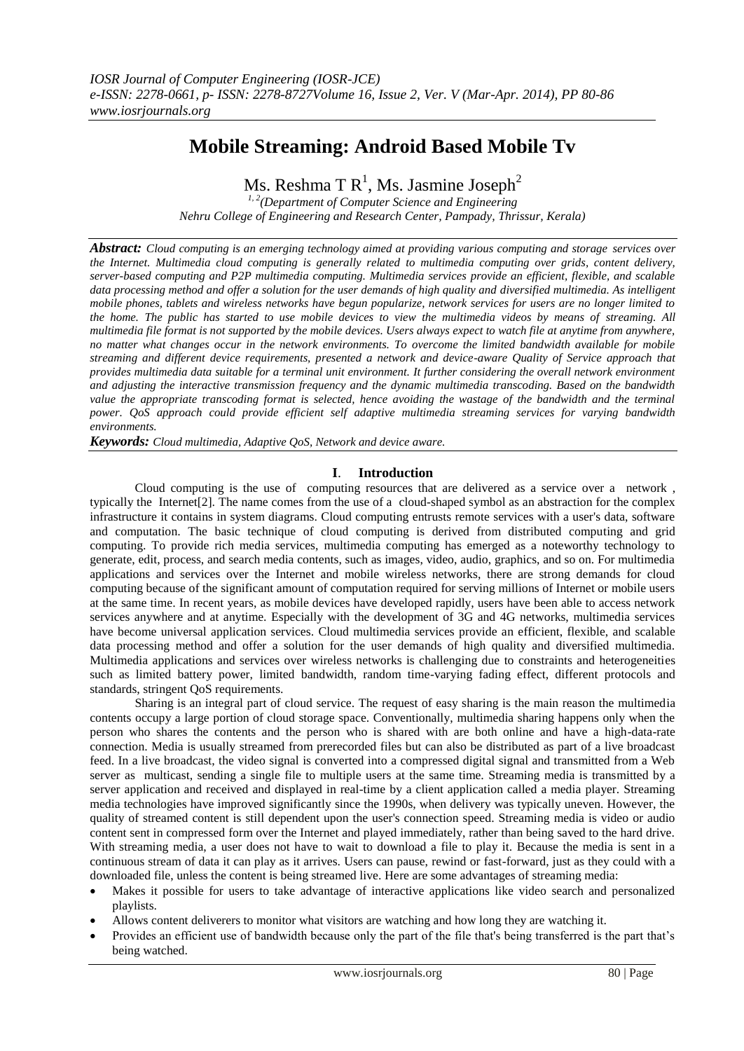# **Mobile Streaming: Android Based Mobile Tv**

Ms. Reshma T  $\text{R}^{1},$  Ms. Jasmine Joseph $^{2}$ 

*1, 2(Department of Computer Science and Engineering Nehru College of Engineering and Research Center, Pampady, Thrissur, Kerala)* 

*Abstract: Cloud computing is an emerging technology aimed at providing various computing and storage services over the Internet. Multimedia cloud computing is generally related to multimedia computing over grids, content delivery, server-based computing and P2P multimedia computing. Multimedia services provide an efficient, flexible, and scalable data processing method and offer a solution for the user demands of high quality and diversified multimedia. As intelligent mobile phones, tablets and wireless networks have begun popularize, network services for users are no longer limited to the home. The public has started to use mobile devices to view the multimedia videos by means of streaming. All multimedia file format is not supported by the mobile devices. Users always expect to watch file at anytime from anywhere, no matter what changes occur in the network environments. To overcome the limited bandwidth available for mobile streaming and different device requirements, presented a network and device-aware Quality of Service approach that provides multimedia data suitable for a terminal unit environment. It further considering the overall network environment and adjusting the interactive transmission frequency and the dynamic multimedia transcoding. Based on the bandwidth value the appropriate transcoding format is selected, hence avoiding the wastage of the bandwidth and the terminal power. QoS approach could provide efficient self adaptive multimedia streaming services for varying bandwidth environments.*

*Keywords: Cloud multimedia, Adaptive QoS, Network and device aware.*

# **I**. **Introduction**

Cloud computing is the use of [computing](http://en.wikipedia.org/wiki/Computing) resources that are delivered as a service over a [network](http://en.wikipedia.org/wiki/Computer_network) , typically the [Internet\[2\].](http://en.wikipedia.org/wiki/Internet) The name comes from the use of a [cloud](http://en.wikipedia.org/wiki/Cloud)-shaped symbol as an abstraction for the complex infrastructure it contains in system diagrams. Cloud computing entrusts remote services with a user's data, software and computation. The basic technique of cloud computing is derived from distributed computing and grid computing. To provide rich media services, multimedia computing has emerged as a noteworthy technology to generate, edit, process, and search media contents, such as images, video, audio, graphics, and so on. For multimedia applications and services over the Internet and mobile wireless networks, there are strong demands for cloud computing because of the significant amount of computation required for serving millions of Internet or mobile users at the same time. In recent years, as mobile devices have developed rapidly, users have been able to access network services anywhere and at anytime. Especially with the development of 3G and 4G networks, multimedia services have become universal application services. Cloud multimedia services provide an efficient, flexible, and scalable data processing method and offer a solution for the user demands of high quality and diversified multimedia. Multimedia applications and services over wireless networks is challenging due to constraints and heterogeneities such as limited battery power, limited bandwidth, random time-varying fading effect, different protocols and standards, stringent QoS requirements.

Sharing is an integral part of cloud service. The request of easy sharing is the main reason the multimedia contents occupy a large portion of cloud storage space. Conventionally, multimedia sharing happens only when the person who shares the contents and the person who is shared with are both online and have a high-data-rate connection. Media is usually streamed from prerecorded files but can also be distributed as part of a live broadcast feed. In a live broadcast, the video signal is converted into a compressed digital signal and transmitted from a Web server as [multicast,](http://searchnetworking.techtarget.com/definition/multicast) sending a single file to multiple users at the same time. Streaming media is transmitted by a server application and received and displayed in real-time by a client application called a media player. Streaming media technologies have improved significantly since the 1990s, when delivery was typically uneven. However, the quality of streamed content is still dependent upon the user's connection speed. Streaming media is video or audio content sent in compressed form over the Internet and played immediately, rather than being saved to the hard drive. With streaming media, a user does not have to wait to download a file to play it. Because the media is sent in a continuous stream of data it can play as it arrives. Users can pause, rewind or fast-forward, just as they could with a downloaded file, unless the content is being streamed live. Here are some advantages of streaming media:

- Makes it possible for users to take advantage of interactive applications like video search and personalized playlists.
- Allows content deliverers to monitor what visitors are watching and how long they are watching it.
- Provides an efficient use of bandwidth because only the part of the file that's being transferred is the part that's being watched.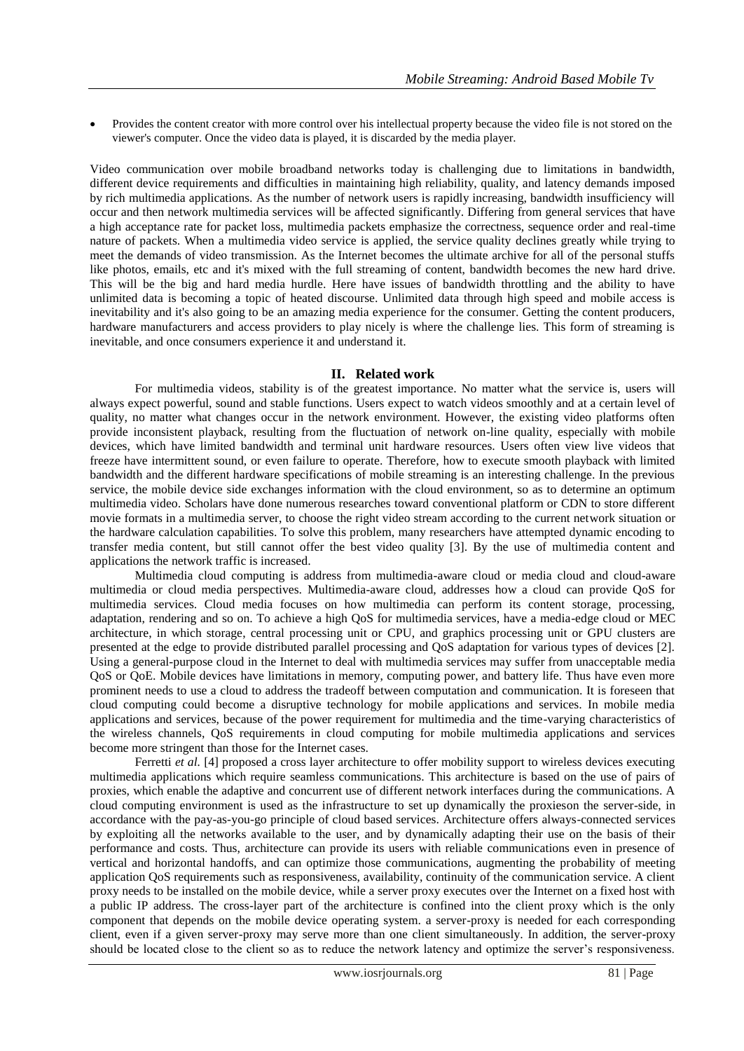Provides the content creator with more control over his intellectual property because the video file is not stored on the viewer's computer. Once the video data is played, it is discarded by the media player.

Video communication over mobile broadband networks today is challenging due to limitations in bandwidth, different device requirements and difficulties in maintaining high reliability, quality, and latency demands imposed by rich multimedia applications. As the number of network users is rapidly increasing, bandwidth insufficiency will occur and then network multimedia services will be affected significantly. Differing from general services that have a high acceptance rate for packet loss, multimedia packets emphasize the correctness, sequence order and real-time nature of packets. When a multimedia video service is applied, the service quality declines greatly while trying to meet the demands of video transmission. As the Internet becomes the ultimate archive for all of the personal stuffs like photos, emails, etc and it's mixed with the full streaming of content, bandwidth becomes the new hard drive. This will be the big and hard media hurdle. Here have issues of bandwidth throttling and the ability to have unlimited data is becoming a topic of heated discourse. Unlimited data through high speed and mobile access is inevitability and it's also going to be an amazing media experience for the consumer. Getting the content producers, hardware manufacturers and access providers to play nicely is where the challenge lies. This form of streaming is inevitable, and once consumers experience it and understand it.

# **II. Related work**

For multimedia videos, stability is of the greatest importance. No matter what the service is, users will always expect powerful, sound and stable functions. Users expect to watch videos smoothly and at a certain level of quality, no matter what changes occur in the network environment. However, the existing video platforms often provide inconsistent playback, resulting from the fluctuation of network on-line quality, especially with mobile devices, which have limited bandwidth and terminal unit hardware resources. Users often view live videos that freeze have intermittent sound, or even failure to operate. Therefore, how to execute smooth playback with limited bandwidth and the different hardware specifications of mobile streaming is an interesting challenge. In the previous service, the mobile device side exchanges information with the cloud environment, so as to determine an optimum multimedia video. Scholars have done numerous researches toward conventional platform or CDN to store different movie formats in a multimedia server, to choose the right video stream according to the current network situation or the hardware calculation capabilities. To solve this problem, many researchers have attempted dynamic encoding to transfer media content, but still cannot offer the best video quality [3]. By the use of multimedia content and applications the network traffic is increased.

Multimedia cloud computing is address from multimedia-aware cloud or media cloud and cloud-aware multimedia or cloud media perspectives. Multimedia-aware cloud, addresses how a cloud can provide QoS for multimedia services. Cloud media focuses on how multimedia can perform its content storage, processing, adaptation, rendering and so on. To achieve a high QoS for multimedia services, have a media-edge cloud or MEC architecture, in which storage, central processing unit or CPU, and graphics processing unit or GPU clusters are presented at the edge to provide distributed parallel processing and QoS adaptation for various types of devices [2]. Using a general-purpose cloud in the Internet to deal with multimedia services may suffer from unacceptable media QoS or QoE. Mobile devices have limitations in memory, computing power, and battery life. Thus have even more prominent needs to use a cloud to address the tradeoff between computation and communication. It is foreseen that cloud computing could become a disruptive technology for mobile applications and services. In mobile media applications and services, because of the power requirement for multimedia and the time-varying characteristics of the wireless channels, QoS requirements in cloud computing for mobile multimedia applications and services become more stringent than those for the Internet cases.

Ferretti *et al.* [4] proposed a cross layer architecture to offer mobility support to wireless devices executing multimedia applications which require seamless communications. This architecture is based on the use of pairs of proxies, which enable the adaptive and concurrent use of different network interfaces during the communications. A cloud computing environment is used as the infrastructure to set up dynamically the proxieson the server-side, in accordance with the pay-as-you-go principle of cloud based services. Architecture offers always-connected services by exploiting all the networks available to the user, and by dynamically adapting their use on the basis of their performance and costs. Thus, architecture can provide its users with reliable communications even in presence of vertical and horizontal handoffs, and can optimize those communications, augmenting the probability of meeting application QoS requirements such as responsiveness, availability, continuity of the communication service. A client proxy needs to be installed on the mobile device, while a server proxy executes over the Internet on a fixed host with a public IP address. The cross-layer part of the architecture is confined into the client proxy which is the only component that depends on the mobile device operating system. a server-proxy is needed for each corresponding client, even if a given server-proxy may serve more than one client simultaneously. In addition, the server-proxy should be located close to the client so as to reduce the network latency and optimize the server's responsiveness.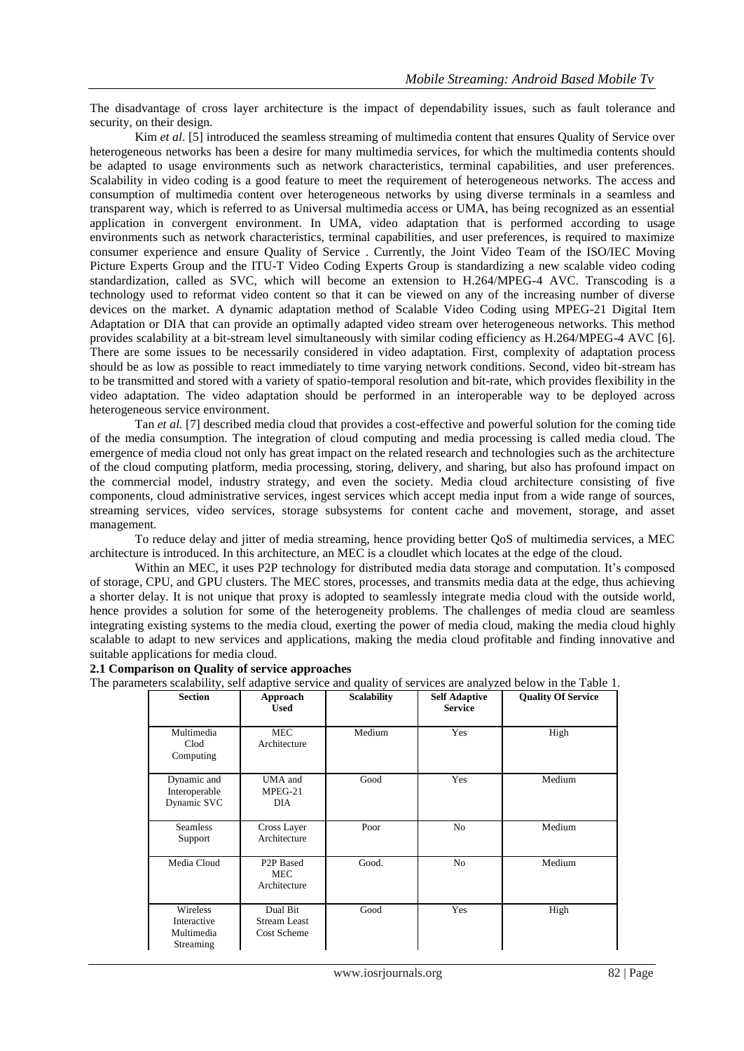The disadvantage of cross layer architecture is the impact of dependability issues, such as fault tolerance and security, on their design.

Kim *et al*. [5] introduced the seamless streaming of multimedia content that ensures Quality of Service over heterogeneous networks has been a desire for many multimedia services, for which the multimedia contents should be adapted to usage environments such as network characteristics, terminal capabilities, and user preferences. Scalability in video coding is a good feature to meet the requirement of heterogeneous networks. The access and consumption of multimedia content over heterogeneous networks by using diverse terminals in a seamless and transparent way, which is referred to as Universal multimedia access or UMA, has being recognized as an essential application in convergent environment. In UMA, video adaptation that is performed according to usage environments such as network characteristics, terminal capabilities, and user preferences, is required to maximize consumer experience and ensure Quality of Service . Currently, the Joint Video Team of the ISO/IEC Moving Picture Experts Group and the ITU-T Video Coding Experts Group is standardizing a new scalable video coding standardization, called as SVC, which will become an extension to H.264/MPEG-4 AVC. Transcoding is a technology used to reformat video content so that it can be viewed on any of the increasing number of diverse devices on the market. A dynamic adaptation method of Scalable Video Coding using MPEG-21 Digital Item Adaptation or DIA that can provide an optimally adapted video stream over heterogeneous networks. This method provides scalability at a bit-stream level simultaneously with similar coding efficiency as H.264/MPEG-4 AVC [6]. There are some issues to be necessarily considered in video adaptation. First, complexity of adaptation process should be as low as possible to react immediately to time varying network conditions. Second, video bit-stream has to be transmitted and stored with a variety of spatio-temporal resolution and bit-rate, which provides flexibility in the video adaptation. The video adaptation should be performed in an interoperable way to be deployed across heterogeneous service environment.

Tan *et al.* [7] described media cloud that provides a cost-effective and powerful solution for the coming tide of the media consumption. The integration of cloud computing and media processing is called media cloud. The emergence of media cloud not only has great impact on the related research and technologies such as the architecture of the cloud computing platform, media processing, storing, delivery, and sharing, but also has profound impact on the commercial model, industry strategy, and even the society. Media cloud architecture consisting of five components, cloud administrative services, ingest services which accept media input from a wide range of sources, streaming services, video services, storage subsystems for content cache and movement, storage, and asset management.

To reduce delay and jitter of media streaming, hence providing better QoS of multimedia services, a MEC architecture is introduced. In this architecture, an MEC is a cloudlet which locates at the edge of the cloud.

Within an MEC, it uses P2P technology for distributed media data storage and computation. It's composed of storage, CPU, and GPU clusters. The MEC stores, processes, and transmits media data at the edge, thus achieving a shorter delay. It is not unique that proxy is adopted to seamlessly integrate media cloud with the outside world, hence provides a solution for some of the heterogeneity problems. The challenges of media cloud are seamless integrating existing systems to the media cloud, exerting the power of media cloud, making the media cloud highly scalable to adapt to new services and applications, making the media cloud profitable and finding innovative and suitable applications for media cloud.

#### **2.1 Comparison on Quality of service approaches**

The parameters scalability, self adaptive service and quality of services are analyzed below in the Table 1.

| <b>Section</b>                                     | Approach<br><b>Used</b>                               | <b>Scalability</b> | <b>Self Adaptive</b><br><b>Service</b> | <b>Quality Of Service</b> |
|----------------------------------------------------|-------------------------------------------------------|--------------------|----------------------------------------|---------------------------|
| Multimedia<br>Clod<br>Computing                    | <b>MEC</b><br>Architecture                            | Medium             | Yes                                    | High                      |
| Dynamic and<br>Interoperable<br>Dynamic SVC        | UMA and<br>$MPEG-21$<br>DIA                           | Good               | Yes                                    | Medium                    |
| <b>Seamless</b><br>Support                         | Cross Layer<br>Architecture                           | Poor               | N <sub>o</sub>                         | Medium                    |
| Media Cloud                                        | P <sub>2</sub> P Based<br><b>MEC</b><br>Architecture  | Good.              | N <sub>o</sub>                         | Medium                    |
| Wireless<br>Interactive<br>Multimedia<br>Streaming | Dual Bit<br><b>Stream Least</b><br><b>Cost Scheme</b> | Good               | Yes                                    | High                      |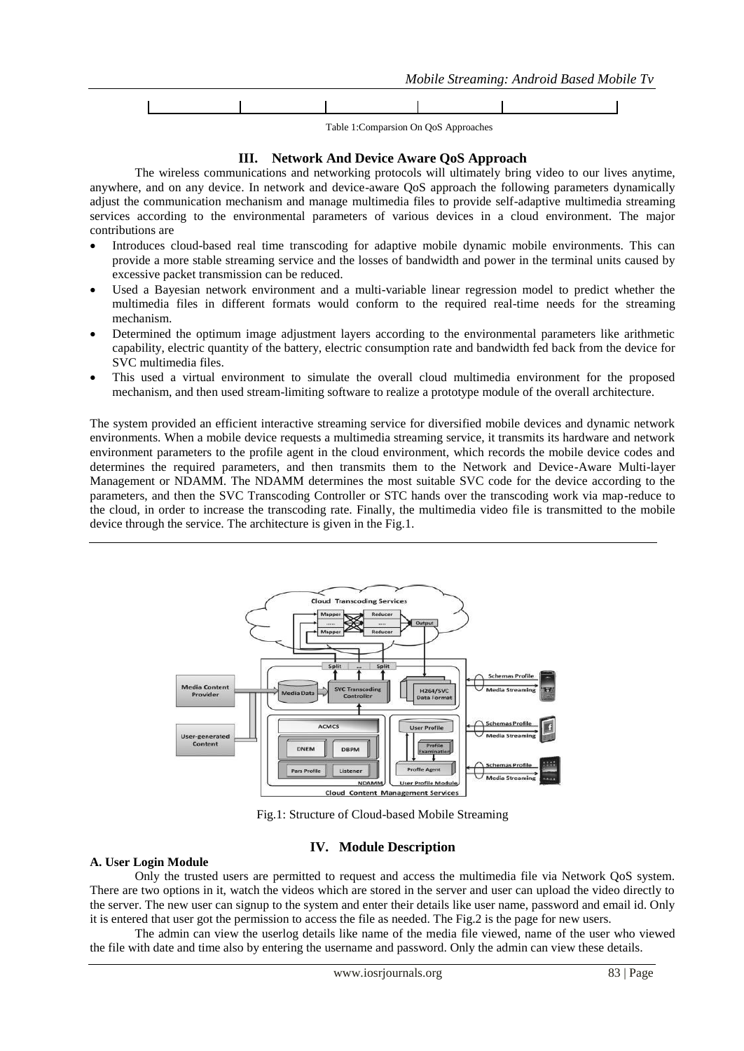

Table 1:Comparsion On QoS Approaches

#### **III. Network And Device Aware QoS Approach**

The wireless communications and networking protocols will ultimately bring video to our lives anytime, anywhere, and on any device. In network and device-aware QoS approach the following parameters dynamically adjust the communication mechanism and manage multimedia files to provide self-adaptive multimedia streaming services according to the environmental parameters of various devices in a cloud environment. The major contributions are

- Introduces cloud-based real time transcoding for adaptive mobile dynamic mobile environments. This can provide a more stable streaming service and the losses of bandwidth and power in the terminal units caused by excessive packet transmission can be reduced.
- Used a Bayesian network environment and a multi-variable linear regression model to predict whether the multimedia files in different formats would conform to the required real-time needs for the streaming mechanism.
- Determined the optimum image adjustment layers according to the environmental parameters like arithmetic capability, electric quantity of the battery, electric consumption rate and bandwidth fed back from the device for SVC multimedia files.
- This used a virtual environment to simulate the overall cloud multimedia environment for the proposed mechanism, and then used stream-limiting software to realize a prototype module of the overall architecture.

The system provided an efficient interactive streaming service for diversified mobile devices and dynamic network environments. When a mobile device requests a multimedia streaming service, it transmits its hardware and network environment parameters to the profile agent in the cloud environment, which records the mobile device codes and determines the required parameters, and then transmits them to the Network and Device-Aware Multi-layer Management or NDAMM. The NDAMM determines the most suitable SVC code for the device according to the parameters, and then the SVC Transcoding Controller or STC hands over the transcoding work via map-reduce to the cloud, in order to increase the transcoding rate. Finally, the multimedia video file is transmitted to the mobile device through the service. The architecture is given in the Fig.1.



Fig.1: Structure of Cloud-based Mobile Streaming

# **IV. Module Description**

# **A. User Login Module**

Only the trusted users are permitted to request and access the multimedia file via Network QoS system. There are two options in it, watch the videos which are stored in the server and user can upload the video directly to the server. The new user can signup to the system and enter their details like user name, password and email id. Only it is entered that user got the permission to access the file as needed. The Fig.2 is the page for new users.

The admin can view the userlog details like name of the media file viewed, name of the user who viewed the file with date and time also by entering the username and password. Only the admin can view these details.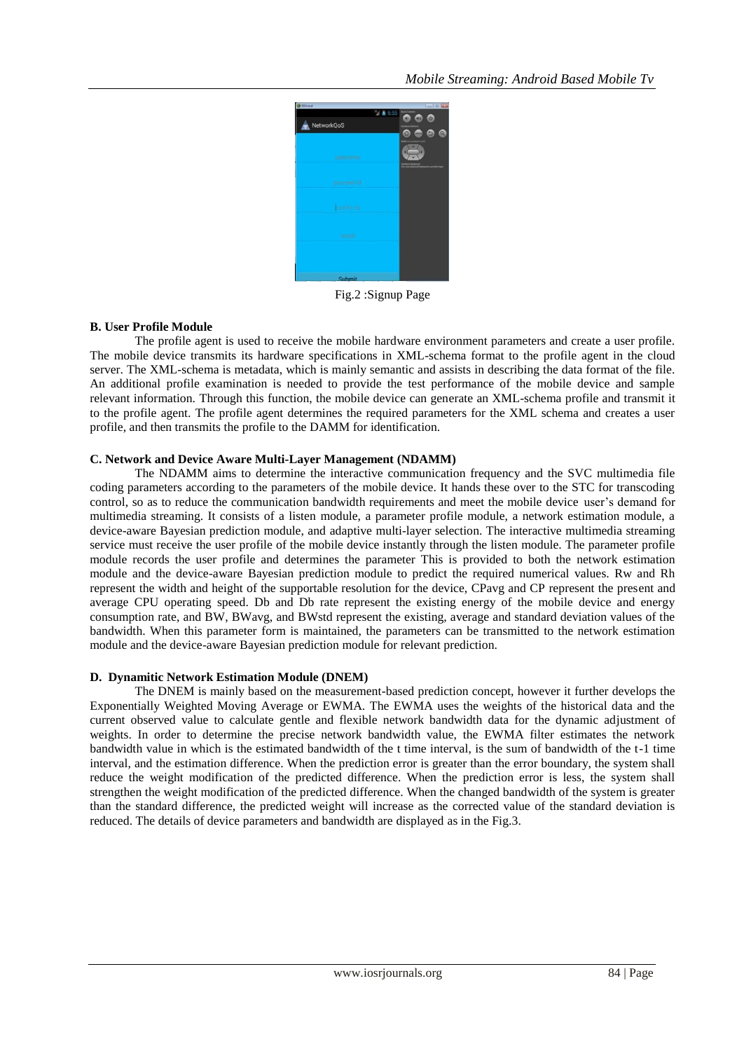

Fig.2 :Signup Page

# **B. User Profile Module**

The profile agent is used to receive the mobile hardware environment parameters and create a user profile. The mobile device transmits its hardware specifications in XML-schema format to the profile agent in the cloud server. The XML-schema is metadata, which is mainly semantic and assists in describing the data format of the file. An additional profile examination is needed to provide the test performance of the mobile device and sample relevant information. Through this function, the mobile device can generate an XML-schema profile and transmit it to the profile agent. The profile agent determines the required parameters for the XML schema and creates a user profile, and then transmits the profile to the DAMM for identification.

# **C. Network and Device Aware Multi-Layer Management (NDAMM)**

The NDAMM aims to determine the interactive communication frequency and the SVC multimedia file coding parameters according to the parameters of the mobile device. It hands these over to the STC for transcoding control, so as to reduce the communication bandwidth requirements and meet the mobile device user's demand for multimedia streaming. It consists of a listen module, a parameter profile module, a network estimation module, a device-aware Bayesian prediction module, and adaptive multi-layer selection. The interactive multimedia streaming service must receive the user profile of the mobile device instantly through the listen module. The parameter profile module records the user profile and determines the parameter This is provided to both the network estimation module and the device-aware Bayesian prediction module to predict the required numerical values. Rw and Rh represent the width and height of the supportable resolution for the device, CPavg and CP represent the present and average CPU operating speed. Db and Db rate represent the existing energy of the mobile device and energy consumption rate, and BW, BWavg, and BWstd represent the existing, average and standard deviation values of the bandwidth. When this parameter form is maintained, the parameters can be transmitted to the network estimation module and the device-aware Bayesian prediction module for relevant prediction.

# **D. Dynamitic Network Estimation Module (DNEM)**

The DNEM is mainly based on the measurement-based prediction concept, however it further develops the Exponentially Weighted Moving Average or EWMA. The EWMA uses the weights of the historical data and the current observed value to calculate gentle and flexible network bandwidth data for the dynamic adjustment of weights. In order to determine the precise network bandwidth value, the EWMA filter estimates the network bandwidth value in which is the estimated bandwidth of the t time interval, is the sum of bandwidth of the t-1 time interval, and the estimation difference. When the prediction error is greater than the error boundary, the system shall reduce the weight modification of the predicted difference. When the prediction error is less, the system shall strengthen the weight modification of the predicted difference. When the changed bandwidth of the system is greater than the standard difference, the predicted weight will increase as the corrected value of the standard deviation is reduced. The details of device parameters and bandwidth are displayed as in the Fig.3.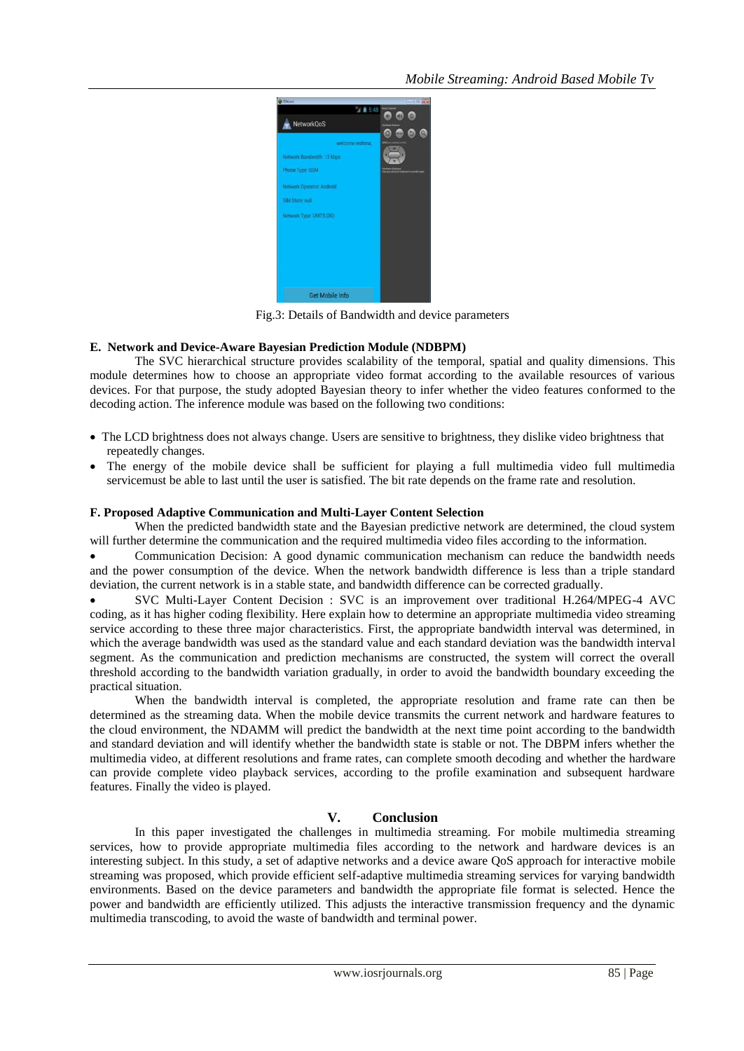

Fig.3: Details of Bandwidth and device parameters

#### **E. Network and Device-Aware Bayesian Prediction Module (NDBPM)**

The SVC hierarchical structure provides scalability of the temporal, spatial and quality dimensions. This module determines how to choose an appropriate video format according to the available resources of various devices. For that purpose, the study adopted Bayesian theory to infer whether the video features conformed to the decoding action. The inference module was based on the following two conditions:

- The LCD brightness does not always change. Users are sensitive to brightness, they dislike video brightness that repeatedly changes.
- The energy of the mobile device shall be sufficient for playing a full multimedia video full multimedia servicemust be able to last until the user is satisfied. The bit rate depends on the frame rate and resolution.

#### **F. Proposed Adaptive Communication and Multi-Layer Content Selection**

When the predicted bandwidth state and the Bayesian predictive network are determined, the cloud system will further determine the communication and the required multimedia video files according to the information.

 Communication Decision: A good dynamic communication mechanism can reduce the bandwidth needs and the power consumption of the device. When the network bandwidth difference is less than a triple standard deviation, the current network is in a stable state, and bandwidth difference can be corrected gradually.

 SVC Multi-Layer Content Decision : SVC is an improvement over traditional H.264/MPEG-4 AVC coding, as it has higher coding flexibility. Here explain how to determine an appropriate multimedia video streaming service according to these three major characteristics. First, the appropriate bandwidth interval was determined, in which the average bandwidth was used as the standard value and each standard deviation was the bandwidth interval segment. As the communication and prediction mechanisms are constructed, the system will correct the overall threshold according to the bandwidth variation gradually, in order to avoid the bandwidth boundary exceeding the practical situation.

When the bandwidth interval is completed, the appropriate resolution and frame rate can then be determined as the streaming data. When the mobile device transmits the current network and hardware features to the cloud environment, the NDAMM will predict the bandwidth at the next time point according to the bandwidth and standard deviation and will identify whether the bandwidth state is stable or not. The DBPM infers whether the multimedia video, at different resolutions and frame rates, can complete smooth decoding and whether the hardware can provide complete video playback services, according to the profile examination and subsequent hardware features. Finally the video is played.

# **V. Conclusion**

In this paper investigated the challenges in multimedia streaming. For mobile multimedia streaming services, how to provide appropriate multimedia files according to the network and hardware devices is an interesting subject. In this study, a set of adaptive networks and a device aware QoS approach for interactive mobile streaming was proposed, which provide efficient self-adaptive multimedia streaming services for varying bandwidth environments. Based on the device parameters and bandwidth the appropriate file format is selected. Hence the power and bandwidth are efficiently utilized. This adjusts the interactive transmission frequency and the dynamic multimedia transcoding, to avoid the waste of bandwidth and terminal power.